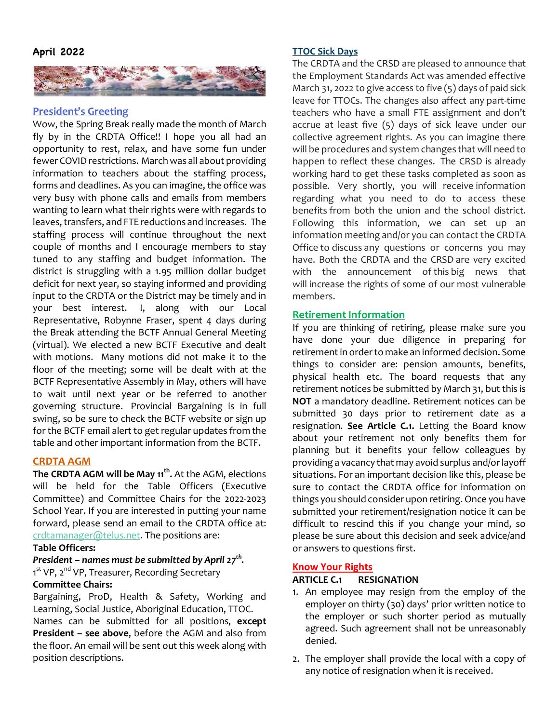

### **President's Greeting**

Wow, the Spring Break really made the month of March fly by in the CRDTA Office!! I hope you all had an opportunity to rest, relax, and have some fun under fewer COVID restrictions. March was all about providing information to teachers about the staffing process, forms and deadlines. As you can imagine, the office was very busy with phone calls and emails from members wanting to learn what their rights were with regards to leaves, transfers, and FTE reductions and increases. The staffing process will continue throughout the next couple of months and I encourage members to stay tuned to any staffing and budget information. The district is struggling with a 1.95 million dollar budget deficit for next year, so staying informed and providing input to the CRDTA or the District may be timely and in your best interest. I, along with our Local Representative, Robynne Fraser, spent 4 days during the Break attending the BCTF Annual General Meeting (virtual). We elected a new BCTF Executive and dealt with motions. Many motions did not make it to the floor of the meeting; some will be dealt with at the BCTF Representative Assembly in May, others will have to wait until next year or be referred to another governing structure. Provincial Bargaining is in full swing, so be sure to check the BCTF website or sign up for the BCTF email alert to get regular updates from the table and other important information from the BCTF.

#### **CRDTA AGM**

**The CRDTA AGM will be May 11<sup>th</sup>.** At the AGM, elections will be held for the Table Officers (Executive Committee) and Committee Chairs for the 2022-2023 School Year. If you are interested in putting your name forward, please send an email to the CRDTA office at: crdtamanager@telus.net. The positions are:

## **Table Officers:**

## *President – names must be submitted by April 27<sup>th</sup>.*

1<sup>st</sup> VP, 2<sup>nd</sup> VP, Treasurer, Recording Secretary **Committee Chairs:**

Bargaining, ProD, Health & Safety, Working and Learning, Social Justice, Aboriginal Education, TTOC.

Names can be submitted for all positions, **except President – see above**, before the AGM and also from the floor. An email will be sent out this week along with position descriptions.

#### **TTOC Sick Days**

The CRDTA and the CRSD are pleased to announce that the Employment Standards Act was amended effective March 31, 2022 to give access to five (5) days of paid sick leave for TTOCs. The changes also affect any part-time teachers who have a small FTE assignment and don't accrue at least five (5) days of sick leave under our collective agreement rights. As you can imagine there will be procedures and system changes that will need to happen to reflect these changes. The CRSD is already working hard to get these tasks completed as soon as possible. Very shortly, you will receive information regarding what you need to do to access these benefits from both the union and the school district. Following this information, we can set up an information meeting and/or you can contact the CRDTA Office to discuss any questions or concerns you may have. Both the CRDTA and the CRSD are very excited with the announcement of this big news that will increase the rights of some of our most vulnerable members.

## **Retirement Information**

If you are thinking of retiring, please make sure you have done your due diligence in preparing for retirement in order to make an informed decision. Some things to consider are: pension amounts, benefits, physical health etc. The board requests that any retirement notices be submitted by March 31, but this is **NOT** a mandatory deadline. Retirement notices can be submitted 30 days prior to retirement date as a resignation. **See Article C.1.** Letting the Board know about your retirement not only benefits them for planning but it benefits your fellow colleagues by providing a vacancy that may avoid surplus and/or layoff situations. For an important decision like this, please be sure to contact the CRDTA office for information on things you should consider upon retiring. Once you have submitted your retirement/resignation notice it can be difficult to rescind this if you change your mind, so please be sure about this decision and seek advice/and or answers to questions first.

#### **Know Your Rights**

### **ARTICLE C.1 RESIGNATION**

- 1. An employee may resign from the employ of the employer on thirty (30) days' prior written notice to the employer or such shorter period as mutually agreed. Such agreement shall not be unreasonably denied.
- 2. The employer shall provide the local with a copy of any notice of resignation when it is received.